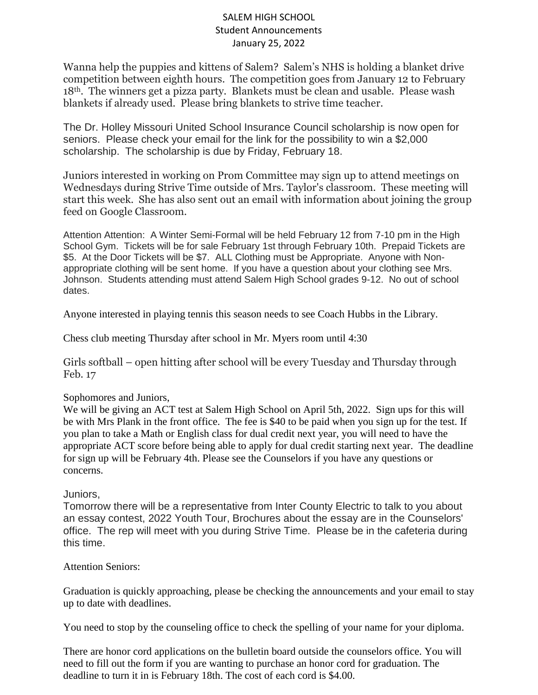## SALEM HIGH SCHOOL Student Announcements January 25, 2022

Wanna help the puppies and kittens of Salem? Salem's NHS is holding a blanket drive competition between eighth hours. The competition goes from January 12 to February 18th. The winners get a pizza party. Blankets must be clean and usable. Please wash blankets if already used. Please bring blankets to strive time teacher.

The Dr. Holley Missouri United School Insurance Council scholarship is now open for seniors. Please check your email for the link for the possibility to win a \$2,000 scholarship. The scholarship is due by Friday, February 18.

Juniors interested in working on Prom Committee may sign up to attend meetings on Wednesdays during Strive Time outside of Mrs. Taylor's classroom. These meeting will start this week. She has also sent out an email with information about joining the group feed on Google Classroom.

Attention Attention: A Winter Semi-Formal will be held February 12 from 7-10 pm in the High School Gym. Tickets will be for sale February 1st through February 10th. Prepaid Tickets are \$5. At the Door Tickets will be \$7. ALL Clothing must be Appropriate. Anyone with Nonappropriate clothing will be sent home. If you have a question about your clothing see Mrs. Johnson. Students attending must attend Salem High School grades 9-12. No out of school dates.

Anyone interested in playing tennis this season needs to see Coach Hubbs in the Library.

Chess club meeting Thursday after school in Mr. Myers room until 4:30

Girls softball – open hitting after school will be every Tuesday and Thursday through Feb. 17

## Sophomores and Juniors,

We will be giving an ACT test at Salem High School on April 5th, 2022. Sign ups for this will be with Mrs Plank in the front office. The fee is \$40 to be paid when you sign up for the test. If you plan to take a Math or English class for dual credit next year, you will need to have the appropriate ACT score before being able to apply for dual credit starting next year. The deadline for sign up will be February 4th. Please see the Counselors if you have any questions or concerns.

## Juniors,

Tomorrow there will be a representative from Inter County Electric to talk to you about an essay contest, 2022 Youth Tour, Brochures about the essay are in the Counselors' office. The rep will meet with you during Strive Time. Please be in the cafeteria during this time.

## Attention Seniors:

Graduation is quickly approaching, please be checking the announcements and your email to stay up to date with deadlines.

You need to stop by the counseling office to check the spelling of your name for your diploma.

There are honor cord applications on the bulletin board outside the counselors office. You will need to fill out the form if you are wanting to purchase an honor cord for graduation. The deadline to turn it in is February 18th. The cost of each cord is \$4.00.